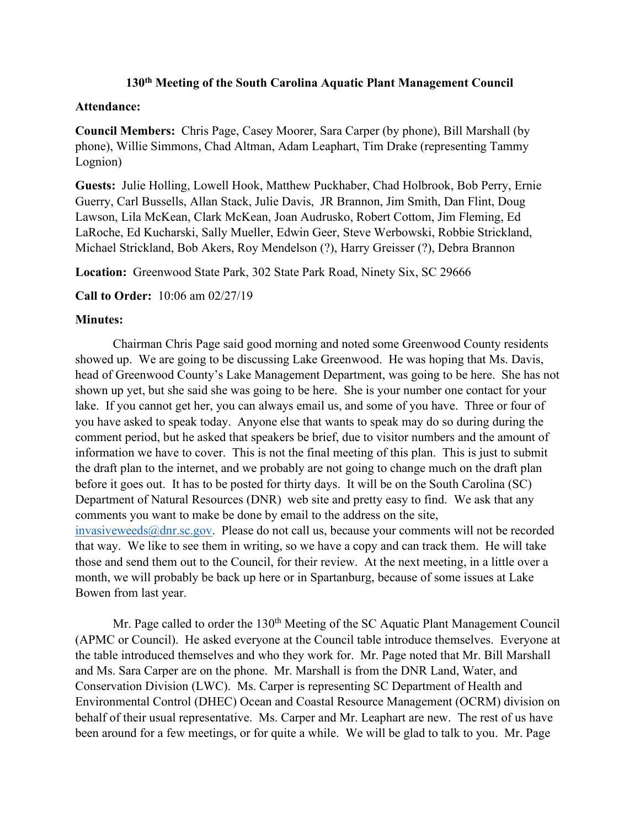## **130th Meeting of the South Carolina Aquatic Plant Management Council**

## **Attendance:**

**Council Members:** Chris Page, Casey Moorer, Sara Carper (by phone), Bill Marshall (by phone), Willie Simmons, Chad Altman, Adam Leaphart, Tim Drake (representing Tammy Lognion)

**Guests:** Julie Holling, Lowell Hook, Matthew Puckhaber, Chad Holbrook, Bob Perry, Ernie Guerry, Carl Bussells, Allan Stack, Julie Davis, JR Brannon, Jim Smith, Dan Flint, Doug Lawson, Lila McKean, Clark McKean, Joan Audrusko, Robert Cottom, Jim Fleming, Ed LaRoche, Ed Kucharski, Sally Mueller, Edwin Geer, Steve Werbowski, Robbie Strickland, Michael Strickland, Bob Akers, Roy Mendelson (?), Harry Greisser (?), Debra Brannon

**Location:** Greenwood State Park, 302 State Park Road, Ninety Six, SC 29666

**Call to Order:** 10:06 am 02/27/19

## **Minutes:**

Chairman Chris Page said good morning and noted some Greenwood County residents showed up. We are going to be discussing Lake Greenwood. He was hoping that Ms. Davis, head of Greenwood County's Lake Management Department, was going to be here. She has not shown up yet, but she said she was going to be here. She is your number one contact for your lake. If you cannot get her, you can always email us, and some of you have. Three or four of you have asked to speak today. Anyone else that wants to speak may do so during during the comment period, but he asked that speakers be brief, due to visitor numbers and the amount of information we have to cover. This is not the final meeting of this plan. This is just to submit the draft plan to the internet, and we probably are not going to change much on the draft plan before it goes out. It has to be posted for thirty days. It will be on the South Carolina (SC) Department of Natural Resources (DNR) web site and pretty easy to find. We ask that any comments you want to make be done by email to the address on the site,  $invasiveweeds@dmrsc.gov.$  Please do not call us, because your comments will not be recorded that way. We like to see them in writing, so we have a copy and can track them. He will take those and send them out to the Council, for their review. At the next meeting, in a little over a month, we will probably be back up here or in Spartanburg, because of some issues at Lake Bowen from last year.

Mr. Page called to order the  $130<sup>th</sup>$  Meeting of the SC Aquatic Plant Management Council (APMC or Council). He asked everyone at the Council table introduce themselves. Everyone at the table introduced themselves and who they work for. Mr. Page noted that Mr. Bill Marshall and Ms. Sara Carper are on the phone. Mr. Marshall is from the DNR Land, Water, and Conservation Division (LWC). Ms. Carper is representing SC Department of Health and Environmental Control (DHEC) Ocean and Coastal Resource Management (OCRM) division on behalf of their usual representative. Ms. Carper and Mr. Leaphart are new. The rest of us have been around for a few meetings, or for quite a while. We will be glad to talk to you. Mr. Page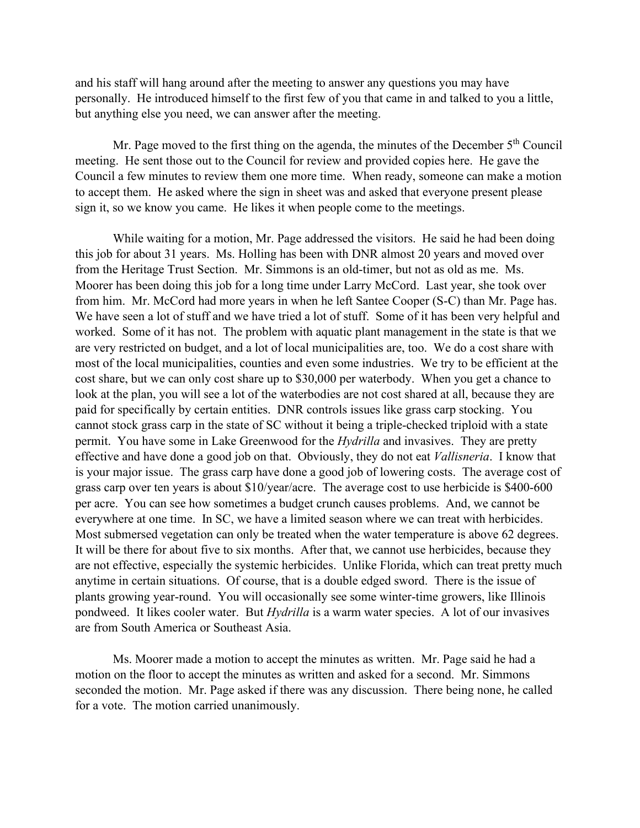and his staff will hang around after the meeting to answer any questions you may have personally. He introduced himself to the first few of you that came in and talked to you a little, but anything else you need, we can answer after the meeting.

Mr. Page moved to the first thing on the agenda, the minutes of the December  $5<sup>th</sup>$  Council meeting. He sent those out to the Council for review and provided copies here. He gave the Council a few minutes to review them one more time. When ready, someone can make a motion to accept them. He asked where the sign in sheet was and asked that everyone present please sign it, so we know you came. He likes it when people come to the meetings.

While waiting for a motion, Mr. Page addressed the visitors. He said he had been doing this job for about 31 years. Ms. Holling has been with DNR almost 20 years and moved over from the Heritage Trust Section. Mr. Simmons is an old-timer, but not as old as me. Ms. Moorer has been doing this job for a long time under Larry McCord. Last year, she took over from him. Mr. McCord had more years in when he left Santee Cooper (S-C) than Mr. Page has. We have seen a lot of stuff and we have tried a lot of stuff. Some of it has been very helpful and worked. Some of it has not. The problem with aquatic plant management in the state is that we are very restricted on budget, and a lot of local municipalities are, too. We do a cost share with most of the local municipalities, counties and even some industries. We try to be efficient at the cost share, but we can only cost share up to \$30,000 per waterbody. When you get a chance to look at the plan, you will see a lot of the waterbodies are not cost shared at all, because they are paid for specifically by certain entities. DNR controls issues like grass carp stocking. You cannot stock grass carp in the state of SC without it being a triple-checked triploid with a state permit. You have some in Lake Greenwood for the *Hydrilla* and invasives. They are pretty effective and have done a good job on that. Obviously, they do not eat *Vallisneria*. I know that is your major issue. The grass carp have done a good job of lowering costs. The average cost of grass carp over ten years is about \$10/year/acre. The average cost to use herbicide is \$400-600 per acre. You can see how sometimes a budget crunch causes problems. And, we cannot be everywhere at one time. In SC, we have a limited season where we can treat with herbicides. Most submersed vegetation can only be treated when the water temperature is above 62 degrees. It will be there for about five to six months. After that, we cannot use herbicides, because they are not effective, especially the systemic herbicides. Unlike Florida, which can treat pretty much anytime in certain situations. Of course, that is a double edged sword. There is the issue of plants growing year-round. You will occasionally see some winter-time growers, like Illinois pondweed. It likes cooler water. But *Hydrilla* is a warm water species. A lot of our invasives are from South America or Southeast Asia.

Ms. Moorer made a motion to accept the minutes as written. Mr. Page said he had a motion on the floor to accept the minutes as written and asked for a second. Mr. Simmons seconded the motion. Mr. Page asked if there was any discussion. There being none, he called for a vote. The motion carried unanimously.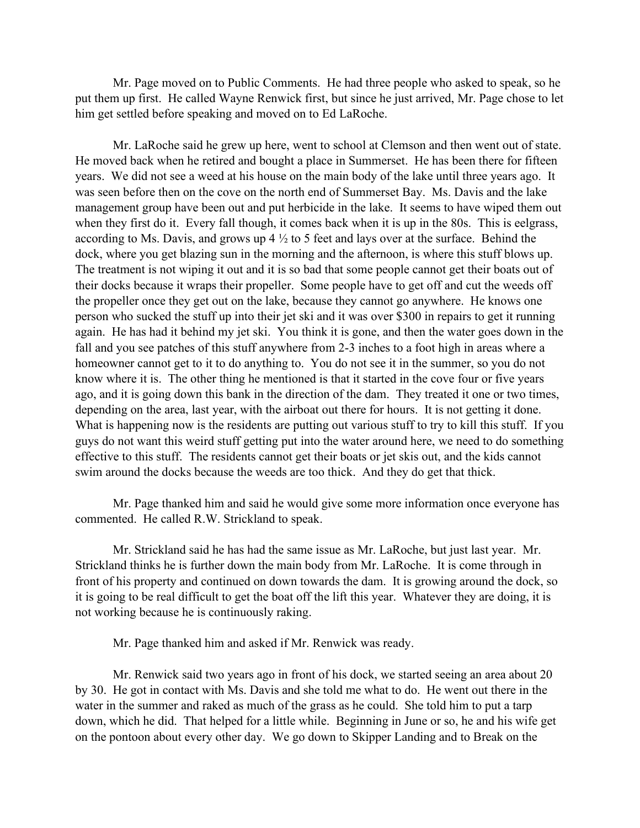Mr. Page moved on to Public Comments. He had three people who asked to speak, so he put them up first. He called Wayne Renwick first, but since he just arrived, Mr. Page chose to let him get settled before speaking and moved on to Ed LaRoche.

Mr. LaRoche said he grew up here, went to school at Clemson and then went out of state. He moved back when he retired and bought a place in Summerset. He has been there for fifteen years. We did not see a weed at his house on the main body of the lake until three years ago. It was seen before then on the cove on the north end of Summerset Bay. Ms. Davis and the lake management group have been out and put herbicide in the lake. It seems to have wiped them out when they first do it. Every fall though, it comes back when it is up in the 80s. This is eelgrass, according to Ms. Davis, and grows up 4 ½ to 5 feet and lays over at the surface. Behind the dock, where you get blazing sun in the morning and the afternoon, is where this stuff blows up. The treatment is not wiping it out and it is so bad that some people cannot get their boats out of their docks because it wraps their propeller. Some people have to get off and cut the weeds off the propeller once they get out on the lake, because they cannot go anywhere. He knows one person who sucked the stuff up into their jet ski and it was over \$300 in repairs to get it running again. He has had it behind my jet ski. You think it is gone, and then the water goes down in the fall and you see patches of this stuff anywhere from 2-3 inches to a foot high in areas where a homeowner cannot get to it to do anything to. You do not see it in the summer, so you do not know where it is. The other thing he mentioned is that it started in the cove four or five years ago, and it is going down this bank in the direction of the dam. They treated it one or two times, depending on the area, last year, with the airboat out there for hours. It is not getting it done. What is happening now is the residents are putting out various stuff to try to kill this stuff. If you guys do not want this weird stuff getting put into the water around here, we need to do something effective to this stuff. The residents cannot get their boats or jet skis out, and the kids cannot swim around the docks because the weeds are too thick. And they do get that thick.

Mr. Page thanked him and said he would give some more information once everyone has commented. He called R.W. Strickland to speak.

Mr. Strickland said he has had the same issue as Mr. LaRoche, but just last year. Mr. Strickland thinks he is further down the main body from Mr. LaRoche. It is come through in front of his property and continued on down towards the dam. It is growing around the dock, so it is going to be real difficult to get the boat off the lift this year. Whatever they are doing, it is not working because he is continuously raking.

Mr. Page thanked him and asked if Mr. Renwick was ready.

Mr. Renwick said two years ago in front of his dock, we started seeing an area about 20 by 30. He got in contact with Ms. Davis and she told me what to do. He went out there in the water in the summer and raked as much of the grass as he could. She told him to put a tarp down, which he did. That helped for a little while. Beginning in June or so, he and his wife get on the pontoon about every other day. We go down to Skipper Landing and to Break on the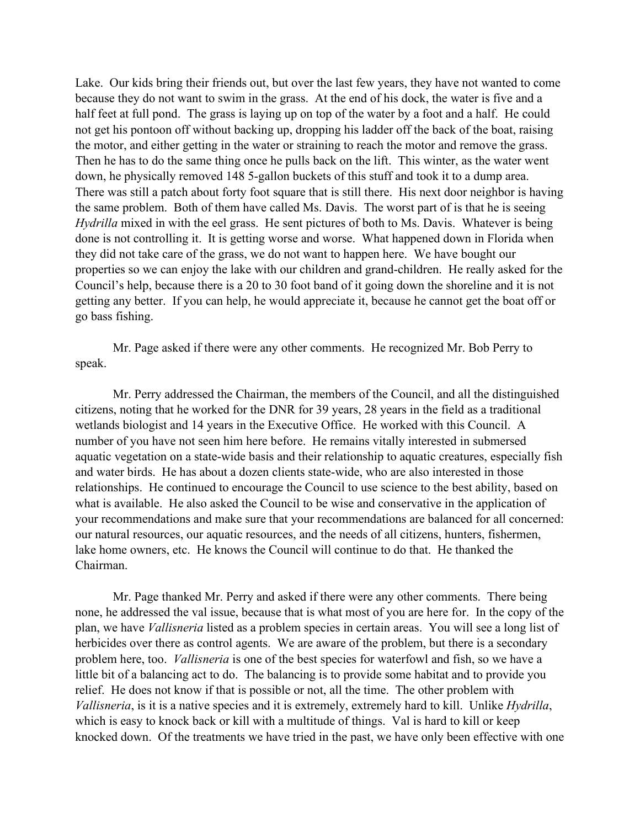Lake. Our kids bring their friends out, but over the last few years, they have not wanted to come because they do not want to swim in the grass. At the end of his dock, the water is five and a half feet at full pond. The grass is laying up on top of the water by a foot and a half. He could not get his pontoon off without backing up, dropping his ladder off the back of the boat, raising the motor, and either getting in the water or straining to reach the motor and remove the grass. Then he has to do the same thing once he pulls back on the lift. This winter, as the water went down, he physically removed 148 5-gallon buckets of this stuff and took it to a dump area. There was still a patch about forty foot square that is still there. His next door neighbor is having the same problem. Both of them have called Ms. Davis. The worst part of is that he is seeing *Hydrilla* mixed in with the eel grass. He sent pictures of both to Ms. Davis. Whatever is being done is not controlling it. It is getting worse and worse. What happened down in Florida when they did not take care of the grass, we do not want to happen here. We have bought our properties so we can enjoy the lake with our children and grand-children. He really asked for the Council's help, because there is a 20 to 30 foot band of it going down the shoreline and it is not getting any better. If you can help, he would appreciate it, because he cannot get the boat off or go bass fishing.

Mr. Page asked if there were any other comments. He recognized Mr. Bob Perry to speak.

Mr. Perry addressed the Chairman, the members of the Council, and all the distinguished citizens, noting that he worked for the DNR for 39 years, 28 years in the field as a traditional wetlands biologist and 14 years in the Executive Office. He worked with this Council. A number of you have not seen him here before. He remains vitally interested in submersed aquatic vegetation on a state-wide basis and their relationship to aquatic creatures, especially fish and water birds. He has about a dozen clients state-wide, who are also interested in those relationships. He continued to encourage the Council to use science to the best ability, based on what is available. He also asked the Council to be wise and conservative in the application of your recommendations and make sure that your recommendations are balanced for all concerned: our natural resources, our aquatic resources, and the needs of all citizens, hunters, fishermen, lake home owners, etc. He knows the Council will continue to do that. He thanked the Chairman.

Mr. Page thanked Mr. Perry and asked if there were any other comments. There being none, he addressed the val issue, because that is what most of you are here for. In the copy of the plan, we have *Vallisneria* listed as a problem species in certain areas. You will see a long list of herbicides over there as control agents. We are aware of the problem, but there is a secondary problem here, too. *Vallisneria* is one of the best species for waterfowl and fish, so we have a little bit of a balancing act to do. The balancing is to provide some habitat and to provide you relief. He does not know if that is possible or not, all the time. The other problem with *Vallisneria*, is it is a native species and it is extremely, extremely hard to kill. Unlike *Hydrilla*, which is easy to knock back or kill with a multitude of things. Val is hard to kill or keep knocked down. Of the treatments we have tried in the past, we have only been effective with one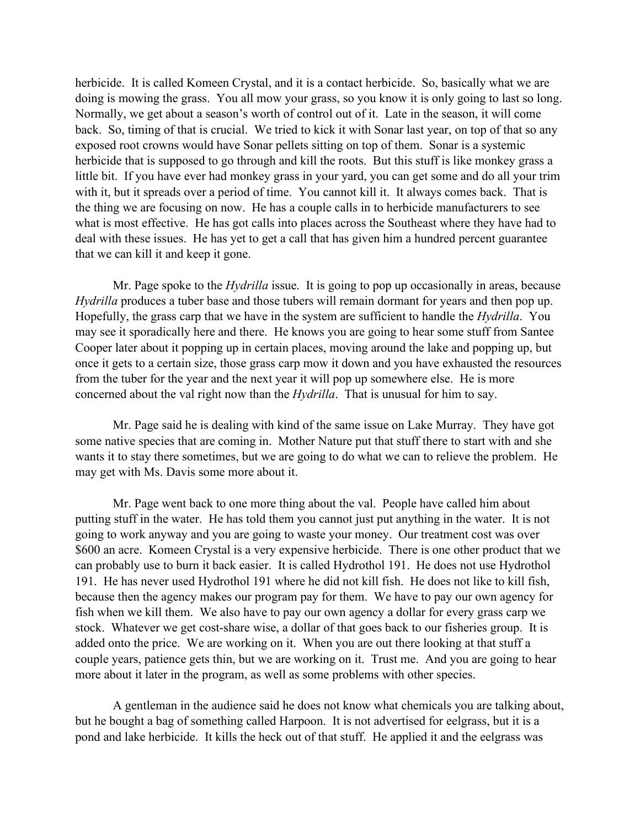herbicide. It is called Komeen Crystal, and it is a contact herbicide. So, basically what we are doing is mowing the grass. You all mow your grass, so you know it is only going to last so long. Normally, we get about a season's worth of control out of it. Late in the season, it will come back. So, timing of that is crucial. We tried to kick it with Sonar last year, on top of that so any exposed root crowns would have Sonar pellets sitting on top of them. Sonar is a systemic herbicide that is supposed to go through and kill the roots. But this stuff is like monkey grass a little bit. If you have ever had monkey grass in your yard, you can get some and do all your trim with it, but it spreads over a period of time. You cannot kill it. It always comes back. That is the thing we are focusing on now. He has a couple calls in to herbicide manufacturers to see what is most effective. He has got calls into places across the Southeast where they have had to deal with these issues. He has yet to get a call that has given him a hundred percent guarantee that we can kill it and keep it gone.

Mr. Page spoke to the *Hydrilla* issue. It is going to pop up occasionally in areas, because *Hydrilla* produces a tuber base and those tubers will remain dormant for years and then pop up. Hopefully, the grass carp that we have in the system are sufficient to handle the *Hydrilla*. You may see it sporadically here and there. He knows you are going to hear some stuff from Santee Cooper later about it popping up in certain places, moving around the lake and popping up, but once it gets to a certain size, those grass carp mow it down and you have exhausted the resources from the tuber for the year and the next year it will pop up somewhere else. He is more concerned about the val right now than the *Hydrilla*. That is unusual for him to say.

Mr. Page said he is dealing with kind of the same issue on Lake Murray. They have got some native species that are coming in. Mother Nature put that stuff there to start with and she wants it to stay there sometimes, but we are going to do what we can to relieve the problem. He may get with Ms. Davis some more about it.

Mr. Page went back to one more thing about the val. People have called him about putting stuff in the water. He has told them you cannot just put anything in the water. It is not going to work anyway and you are going to waste your money. Our treatment cost was over \$600 an acre. Komeen Crystal is a very expensive herbicide. There is one other product that we can probably use to burn it back easier. It is called Hydrothol 191. He does not use Hydrothol 191. He has never used Hydrothol 191 where he did not kill fish. He does not like to kill fish, because then the agency makes our program pay for them. We have to pay our own agency for fish when we kill them. We also have to pay our own agency a dollar for every grass carp we stock. Whatever we get cost-share wise, a dollar of that goes back to our fisheries group. It is added onto the price. We are working on it. When you are out there looking at that stuff a couple years, patience gets thin, but we are working on it. Trust me. And you are going to hear more about it later in the program, as well as some problems with other species.

A gentleman in the audience said he does not know what chemicals you are talking about, but he bought a bag of something called Harpoon. It is not advertised for eelgrass, but it is a pond and lake herbicide. It kills the heck out of that stuff. He applied it and the eelgrass was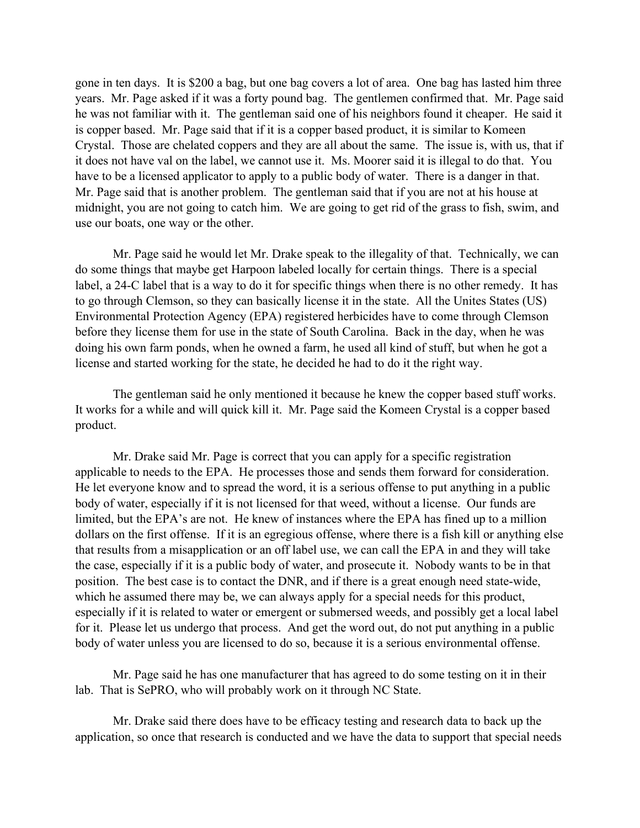gone in ten days. It is \$200 a bag, but one bag covers a lot of area. One bag has lasted him three years. Mr. Page asked if it was a forty pound bag. The gentlemen confirmed that. Mr. Page said he was not familiar with it. The gentleman said one of his neighbors found it cheaper. He said it is copper based. Mr. Page said that if it is a copper based product, it is similar to Komeen Crystal. Those are chelated coppers and they are all about the same. The issue is, with us, that if it does not have val on the label, we cannot use it. Ms. Moorer said it is illegal to do that. You have to be a licensed applicator to apply to a public body of water. There is a danger in that. Mr. Page said that is another problem. The gentleman said that if you are not at his house at midnight, you are not going to catch him. We are going to get rid of the grass to fish, swim, and use our boats, one way or the other.

Mr. Page said he would let Mr. Drake speak to the illegality of that. Technically, we can do some things that maybe get Harpoon labeled locally for certain things. There is a special label, a 24-C label that is a way to do it for specific things when there is no other remedy. It has to go through Clemson, so they can basically license it in the state. All the Unites States (US) Environmental Protection Agency (EPA) registered herbicides have to come through Clemson before they license them for use in the state of South Carolina. Back in the day, when he was doing his own farm ponds, when he owned a farm, he used all kind of stuff, but when he got a license and started working for the state, he decided he had to do it the right way.

The gentleman said he only mentioned it because he knew the copper based stuff works. It works for a while and will quick kill it. Mr. Page said the Komeen Crystal is a copper based product.

Mr. Drake said Mr. Page is correct that you can apply for a specific registration applicable to needs to the EPA. He processes those and sends them forward for consideration. He let everyone know and to spread the word, it is a serious offense to put anything in a public body of water, especially if it is not licensed for that weed, without a license. Our funds are limited, but the EPA's are not. He knew of instances where the EPA has fined up to a million dollars on the first offense. If it is an egregious offense, where there is a fish kill or anything else that results from a misapplication or an off label use, we can call the EPA in and they will take the case, especially if it is a public body of water, and prosecute it. Nobody wants to be in that position. The best case is to contact the DNR, and if there is a great enough need state-wide, which he assumed there may be, we can always apply for a special needs for this product, especially if it is related to water or emergent or submersed weeds, and possibly get a local label for it. Please let us undergo that process. And get the word out, do not put anything in a public body of water unless you are licensed to do so, because it is a serious environmental offense.

Mr. Page said he has one manufacturer that has agreed to do some testing on it in their lab. That is SePRO, who will probably work on it through NC State.

Mr. Drake said there does have to be efficacy testing and research data to back up the application, so once that research is conducted and we have the data to support that special needs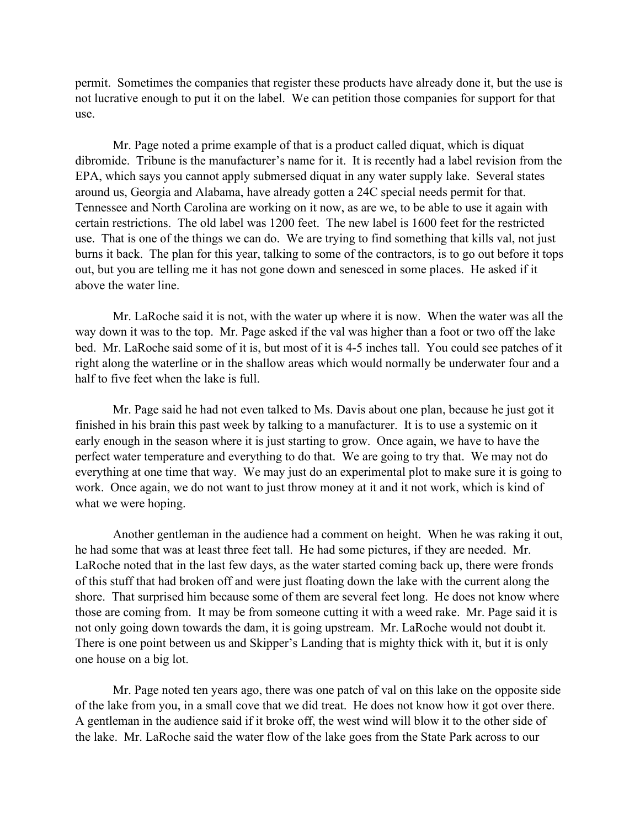permit. Sometimes the companies that register these products have already done it, but the use is not lucrative enough to put it on the label. We can petition those companies for support for that use.

Mr. Page noted a prime example of that is a product called diquat, which is diquat dibromide. Tribune is the manufacturer's name for it. It is recently had a label revision from the EPA, which says you cannot apply submersed diquat in any water supply lake. Several states around us, Georgia and Alabama, have already gotten a 24C special needs permit for that. Tennessee and North Carolina are working on it now, as are we, to be able to use it again with certain restrictions. The old label was 1200 feet. The new label is 1600 feet for the restricted use. That is one of the things we can do. We are trying to find something that kills val, not just burns it back. The plan for this year, talking to some of the contractors, is to go out before it tops out, but you are telling me it has not gone down and senesced in some places. He asked if it above the water line.

Mr. LaRoche said it is not, with the water up where it is now. When the water was all the way down it was to the top. Mr. Page asked if the val was higher than a foot or two off the lake bed. Mr. LaRoche said some of it is, but most of it is 4-5 inches tall. You could see patches of it right along the waterline or in the shallow areas which would normally be underwater four and a half to five feet when the lake is full.

Mr. Page said he had not even talked to Ms. Davis about one plan, because he just got it finished in his brain this past week by talking to a manufacturer. It is to use a systemic on it early enough in the season where it is just starting to grow. Once again, we have to have the perfect water temperature and everything to do that. We are going to try that. We may not do everything at one time that way. We may just do an experimental plot to make sure it is going to work. Once again, we do not want to just throw money at it and it not work, which is kind of what we were hoping.

Another gentleman in the audience had a comment on height. When he was raking it out, he had some that was at least three feet tall. He had some pictures, if they are needed. Mr. LaRoche noted that in the last few days, as the water started coming back up, there were fronds of this stuff that had broken off and were just floating down the lake with the current along the shore. That surprised him because some of them are several feet long. He does not know where those are coming from. It may be from someone cutting it with a weed rake. Mr. Page said it is not only going down towards the dam, it is going upstream. Mr. LaRoche would not doubt it. There is one point between us and Skipper's Landing that is mighty thick with it, but it is only one house on a big lot.

Mr. Page noted ten years ago, there was one patch of val on this lake on the opposite side of the lake from you, in a small cove that we did treat. He does not know how it got over there. A gentleman in the audience said if it broke off, the west wind will blow it to the other side of the lake. Mr. LaRoche said the water flow of the lake goes from the State Park across to our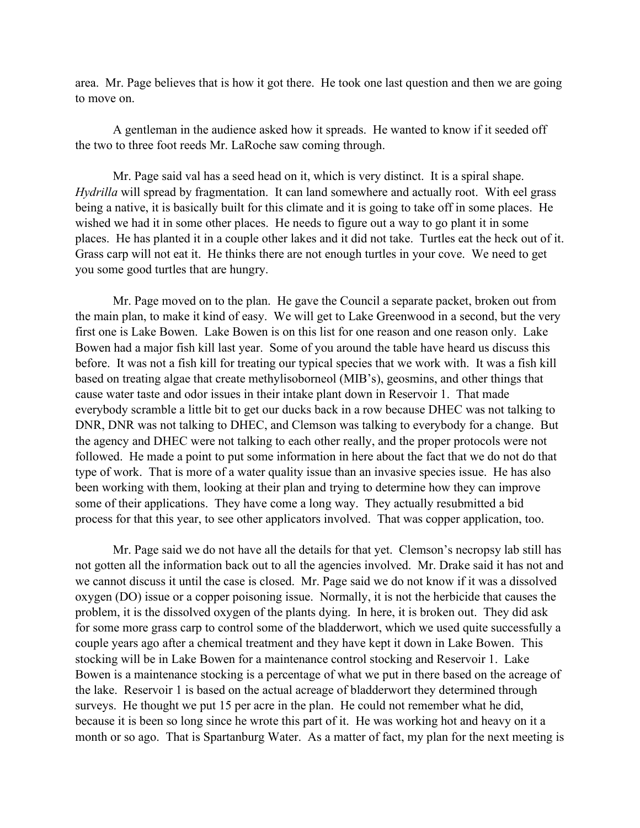area. Mr. Page believes that is how it got there. He took one last question and then we are going to move on.

A gentleman in the audience asked how it spreads. He wanted to know if it seeded off the two to three foot reeds Mr. LaRoche saw coming through.

Mr. Page said val has a seed head on it, which is very distinct. It is a spiral shape. *Hydrilla* will spread by fragmentation. It can land somewhere and actually root. With eel grass being a native, it is basically built for this climate and it is going to take off in some places. He wished we had it in some other places. He needs to figure out a way to go plant it in some places. He has planted it in a couple other lakes and it did not take. Turtles eat the heck out of it. Grass carp will not eat it. He thinks there are not enough turtles in your cove. We need to get you some good turtles that are hungry.

Mr. Page moved on to the plan. He gave the Council a separate packet, broken out from the main plan, to make it kind of easy. We will get to Lake Greenwood in a second, but the very first one is Lake Bowen. Lake Bowen is on this list for one reason and one reason only. Lake Bowen had a major fish kill last year. Some of you around the table have heard us discuss this before. It was not a fish kill for treating our typical species that we work with. It was a fish kill based on treating algae that create methylisoborneol (MIB's), geosmins, and other things that cause water taste and odor issues in their intake plant down in Reservoir 1. That made everybody scramble a little bit to get our ducks back in a row because DHEC was not talking to DNR, DNR was not talking to DHEC, and Clemson was talking to everybody for a change. But the agency and DHEC were not talking to each other really, and the proper protocols were not followed. He made a point to put some information in here about the fact that we do not do that type of work. That is more of a water quality issue than an invasive species issue. He has also been working with them, looking at their plan and trying to determine how they can improve some of their applications. They have come a long way. They actually resubmitted a bid process for that this year, to see other applicators involved. That was copper application, too.

Mr. Page said we do not have all the details for that yet. Clemson's necropsy lab still has not gotten all the information back out to all the agencies involved. Mr. Drake said it has not and we cannot discuss it until the case is closed. Mr. Page said we do not know if it was a dissolved oxygen (DO) issue or a copper poisoning issue. Normally, it is not the herbicide that causes the problem, it is the dissolved oxygen of the plants dying. In here, it is broken out. They did ask for some more grass carp to control some of the bladderwort, which we used quite successfully a couple years ago after a chemical treatment and they have kept it down in Lake Bowen. This stocking will be in Lake Bowen for a maintenance control stocking and Reservoir 1. Lake Bowen is a maintenance stocking is a percentage of what we put in there based on the acreage of the lake. Reservoir 1 is based on the actual acreage of bladderwort they determined through surveys. He thought we put 15 per acre in the plan. He could not remember what he did, because it is been so long since he wrote this part of it. He was working hot and heavy on it a month or so ago. That is Spartanburg Water. As a matter of fact, my plan for the next meeting is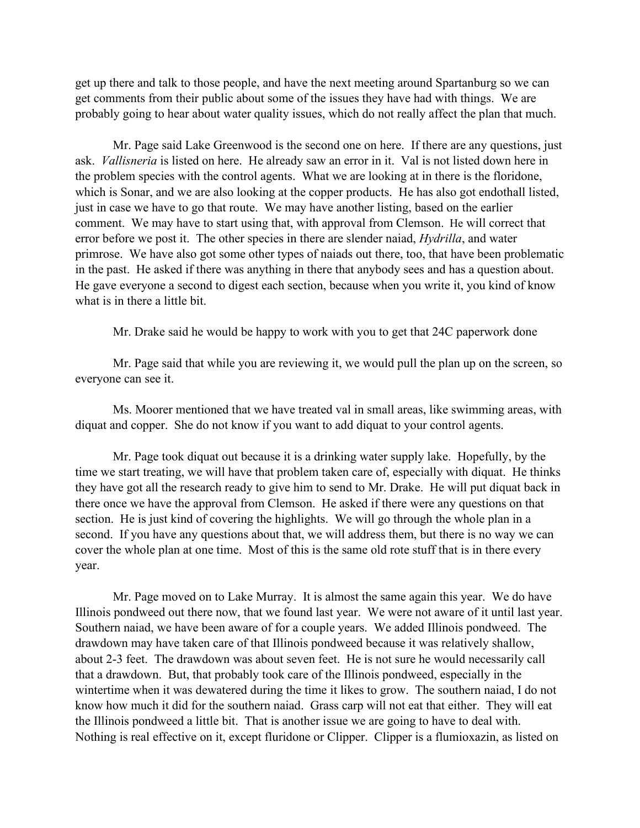get up there and talk to those people, and have the next meeting around Spartanburg so we can get comments from their public about some of the issues they have had with things. We are probably going to hear about water quality issues, which do not really affect the plan that much.

Mr. Page said Lake Greenwood is the second one on here. If there are any questions, just ask. *Vallisneria* is listed on here. He already saw an error in it. Val is not listed down here in the problem species with the control agents. What we are looking at in there is the floridone, which is Sonar, and we are also looking at the copper products. He has also got endothall listed, just in case we have to go that route. We may have another listing, based on the earlier comment. We may have to start using that, with approval from Clemson. He will correct that error before we post it. The other species in there are slender naiad, *Hydrilla*, and water primrose. We have also got some other types of naiads out there, too, that have been problematic in the past. He asked if there was anything in there that anybody sees and has a question about. He gave everyone a second to digest each section, because when you write it, you kind of know what is in there a little bit.

Mr. Drake said he would be happy to work with you to get that 24C paperwork done

Mr. Page said that while you are reviewing it, we would pull the plan up on the screen, so everyone can see it.

Ms. Moorer mentioned that we have treated val in small areas, like swimming areas, with diquat and copper. She do not know if you want to add diquat to your control agents.

Mr. Page took diquat out because it is a drinking water supply lake. Hopefully, by the time we start treating, we will have that problem taken care of, especially with diquat. He thinks they have got all the research ready to give him to send to Mr. Drake. He will put diquat back in there once we have the approval from Clemson. He asked if there were any questions on that section. He is just kind of covering the highlights. We will go through the whole plan in a second. If you have any questions about that, we will address them, but there is no way we can cover the whole plan at one time. Most of this is the same old rote stuff that is in there every year.

Mr. Page moved on to Lake Murray. It is almost the same again this year. We do have Illinois pondweed out there now, that we found last year. We were not aware of it until last year. Southern naiad, we have been aware of for a couple years. We added Illinois pondweed. The drawdown may have taken care of that Illinois pondweed because it was relatively shallow, about 2-3 feet. The drawdown was about seven feet. He is not sure he would necessarily call that a drawdown. But, that probably took care of the Illinois pondweed, especially in the wintertime when it was dewatered during the time it likes to grow. The southern naiad, I do not know how much it did for the southern naiad. Grass carp will not eat that either. They will eat the Illinois pondweed a little bit. That is another issue we are going to have to deal with. Nothing is real effective on it, except fluridone or Clipper. Clipper is a flumioxazin, as listed on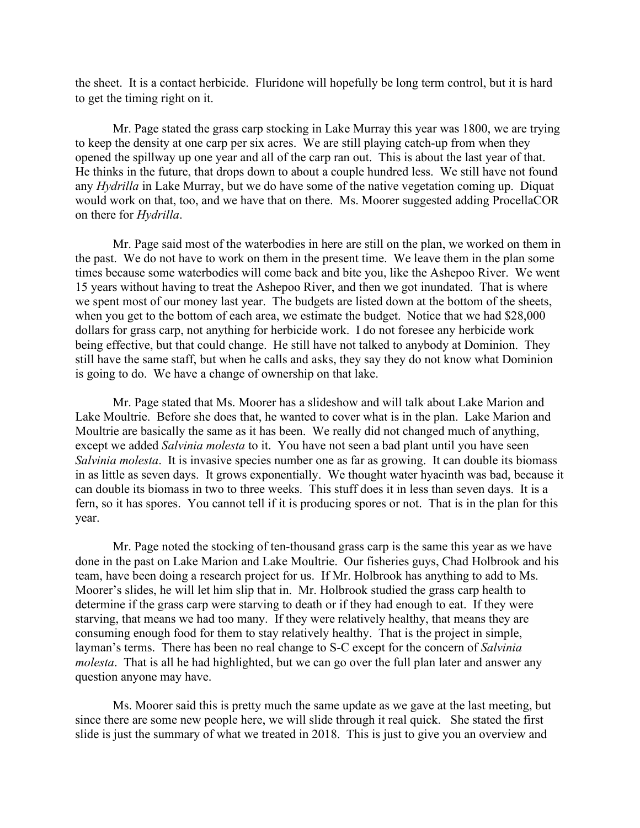the sheet. It is a contact herbicide. Fluridone will hopefully be long term control, but it is hard to get the timing right on it.

Mr. Page stated the grass carp stocking in Lake Murray this year was 1800, we are trying to keep the density at one carp per six acres. We are still playing catch-up from when they opened the spillway up one year and all of the carp ran out. This is about the last year of that. He thinks in the future, that drops down to about a couple hundred less. We still have not found any *Hydrilla* in Lake Murray, but we do have some of the native vegetation coming up. Diquat would work on that, too, and we have that on there. Ms. Moorer suggested adding ProcellaCOR on there for *Hydrilla*.

Mr. Page said most of the waterbodies in here are still on the plan, we worked on them in the past. We do not have to work on them in the present time. We leave them in the plan some times because some waterbodies will come back and bite you, like the Ashepoo River. We went 15 years without having to treat the Ashepoo River, and then we got inundated. That is where we spent most of our money last year. The budgets are listed down at the bottom of the sheets, when you get to the bottom of each area, we estimate the budget. Notice that we had \$28,000 dollars for grass carp, not anything for herbicide work. I do not foresee any herbicide work being effective, but that could change. He still have not talked to anybody at Dominion. They still have the same staff, but when he calls and asks, they say they do not know what Dominion is going to do. We have a change of ownership on that lake.

Mr. Page stated that Ms. Moorer has a slideshow and will talk about Lake Marion and Lake Moultrie. Before she does that, he wanted to cover what is in the plan. Lake Marion and Moultrie are basically the same as it has been. We really did not changed much of anything, except we added *Salvinia molesta* to it. You have not seen a bad plant until you have seen *Salvinia molesta*. It is invasive species number one as far as growing. It can double its biomass in as little as seven days. It grows exponentially. We thought water hyacinth was bad, because it can double its biomass in two to three weeks. This stuff does it in less than seven days. It is a fern, so it has spores. You cannot tell if it is producing spores or not. That is in the plan for this year.

Mr. Page noted the stocking of ten-thousand grass carp is the same this year as we have done in the past on Lake Marion and Lake Moultrie. Our fisheries guys, Chad Holbrook and his team, have been doing a research project for us. If Mr. Holbrook has anything to add to Ms. Moorer's slides, he will let him slip that in. Mr. Holbrook studied the grass carp health to determine if the grass carp were starving to death or if they had enough to eat. If they were starving, that means we had too many. If they were relatively healthy, that means they are consuming enough food for them to stay relatively healthy. That is the project in simple, layman's terms. There has been no real change to S-C except for the concern of *Salvinia molesta*. That is all he had highlighted, but we can go over the full plan later and answer any question anyone may have.

Ms. Moorer said this is pretty much the same update as we gave at the last meeting, but since there are some new people here, we will slide through it real quick. She stated the first slide is just the summary of what we treated in 2018. This is just to give you an overview and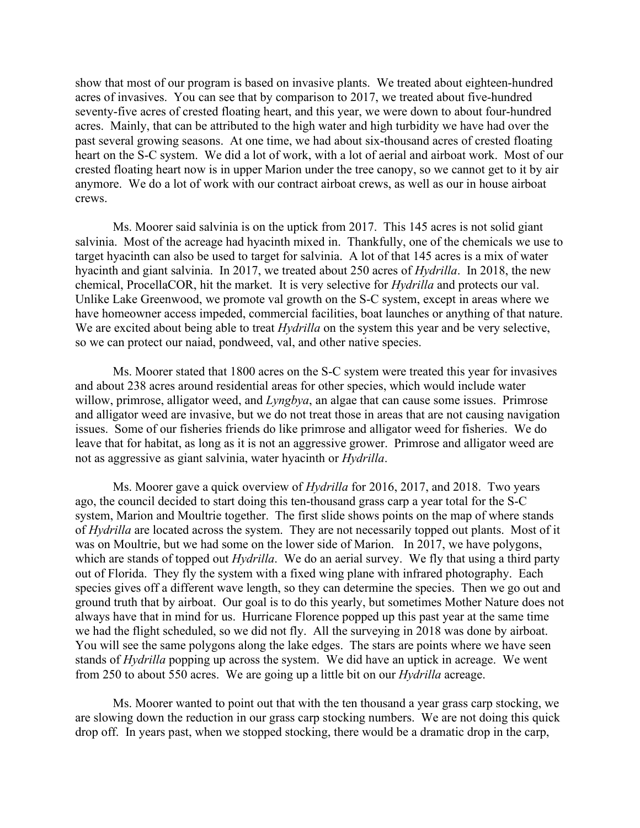show that most of our program is based on invasive plants. We treated about eighteen-hundred acres of invasives. You can see that by comparison to 2017, we treated about five-hundred seventy-five acres of crested floating heart, and this year, we were down to about four-hundred acres. Mainly, that can be attributed to the high water and high turbidity we have had over the past several growing seasons. At one time, we had about six-thousand acres of crested floating heart on the S-C system. We did a lot of work, with a lot of aerial and airboat work. Most of our crested floating heart now is in upper Marion under the tree canopy, so we cannot get to it by air anymore. We do a lot of work with our contract airboat crews, as well as our in house airboat crews.

Ms. Moorer said salvinia is on the uptick from 2017. This 145 acres is not solid giant salvinia. Most of the acreage had hyacinth mixed in. Thankfully, one of the chemicals we use to target hyacinth can also be used to target for salvinia. A lot of that 145 acres is a mix of water hyacinth and giant salvinia. In 2017, we treated about 250 acres of *Hydrilla*. In 2018, the new chemical, ProcellaCOR, hit the market. It is very selective for *Hydrilla* and protects our val. Unlike Lake Greenwood, we promote val growth on the S-C system, except in areas where we have homeowner access impeded, commercial facilities, boat launches or anything of that nature. We are excited about being able to treat *Hydrilla* on the system this year and be very selective, so we can protect our naiad, pondweed, val, and other native species.

Ms. Moorer stated that 1800 acres on the S-C system were treated this year for invasives and about 238 acres around residential areas for other species, which would include water willow, primrose, alligator weed, and *Lyngbya*, an algae that can cause some issues. Primrose and alligator weed are invasive, but we do not treat those in areas that are not causing navigation issues. Some of our fisheries friends do like primrose and alligator weed for fisheries. We do leave that for habitat, as long as it is not an aggressive grower. Primrose and alligator weed are not as aggressive as giant salvinia, water hyacinth or *Hydrilla*.

Ms. Moorer gave a quick overview of *Hydrilla* for 2016, 2017, and 2018. Two years ago, the council decided to start doing this ten-thousand grass carp a year total for the S-C system, Marion and Moultrie together. The first slide shows points on the map of where stands of *Hydrilla* are located across the system. They are not necessarily topped out plants. Most of it was on Moultrie, but we had some on the lower side of Marion. In 2017, we have polygons, which are stands of topped out *Hydrilla*. We do an aerial survey. We fly that using a third party out of Florida. They fly the system with a fixed wing plane with infrared photography. Each species gives off a different wave length, so they can determine the species. Then we go out and ground truth that by airboat. Our goal is to do this yearly, but sometimes Mother Nature does not always have that in mind for us. Hurricane Florence popped up this past year at the same time we had the flight scheduled, so we did not fly. All the surveying in 2018 was done by airboat. You will see the same polygons along the lake edges. The stars are points where we have seen stands of *Hydrilla* popping up across the system. We did have an uptick in acreage. We went from 250 to about 550 acres. We are going up a little bit on our *Hydrilla* acreage.

Ms. Moorer wanted to point out that with the ten thousand a year grass carp stocking, we are slowing down the reduction in our grass carp stocking numbers. We are not doing this quick drop off. In years past, when we stopped stocking, there would be a dramatic drop in the carp,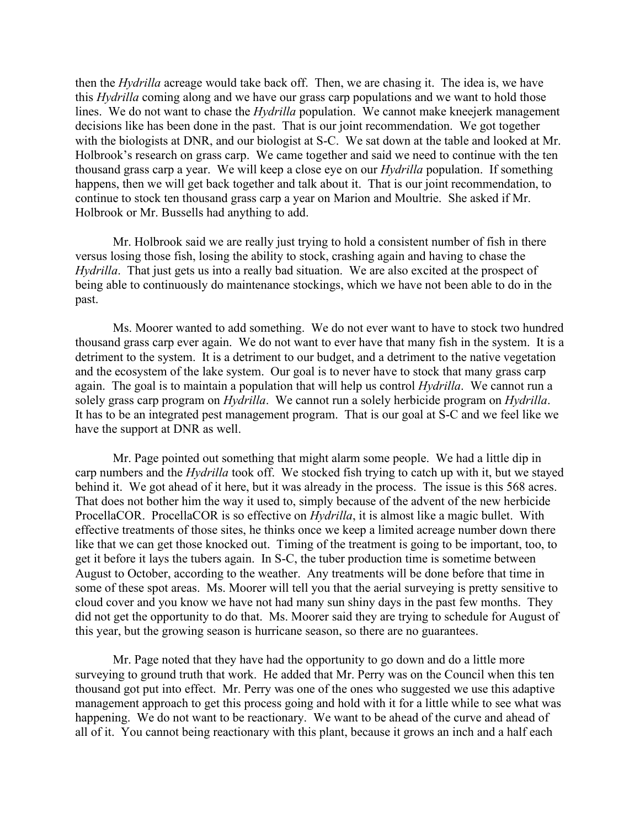then the *Hydrilla* acreage would take back off. Then, we are chasing it. The idea is, we have this *Hydrilla* coming along and we have our grass carp populations and we want to hold those lines. We do not want to chase the *Hydrilla* population. We cannot make kneejerk management decisions like has been done in the past. That is our joint recommendation. We got together with the biologists at DNR, and our biologist at S-C. We sat down at the table and looked at Mr. Holbrook's research on grass carp. We came together and said we need to continue with the ten thousand grass carp a year. We will keep a close eye on our *Hydrilla* population. If something happens, then we will get back together and talk about it. That is our joint recommendation, to continue to stock ten thousand grass carp a year on Marion and Moultrie. She asked if Mr. Holbrook or Mr. Bussells had anything to add.

Mr. Holbrook said we are really just trying to hold a consistent number of fish in there versus losing those fish, losing the ability to stock, crashing again and having to chase the *Hydrilla*. That just gets us into a really bad situation. We are also excited at the prospect of being able to continuously do maintenance stockings, which we have not been able to do in the past.

Ms. Moorer wanted to add something. We do not ever want to have to stock two hundred thousand grass carp ever again. We do not want to ever have that many fish in the system. It is a detriment to the system. It is a detriment to our budget, and a detriment to the native vegetation and the ecosystem of the lake system. Our goal is to never have to stock that many grass carp again. The goal is to maintain a population that will help us control *Hydrilla*. We cannot run a solely grass carp program on *Hydrilla*. We cannot run a solely herbicide program on *Hydrilla*. It has to be an integrated pest management program. That is our goal at S-C and we feel like we have the support at DNR as well.

Mr. Page pointed out something that might alarm some people. We had a little dip in carp numbers and the *Hydrilla* took off. We stocked fish trying to catch up with it, but we stayed behind it. We got ahead of it here, but it was already in the process. The issue is this 568 acres. That does not bother him the way it used to, simply because of the advent of the new herbicide ProcellaCOR. ProcellaCOR is so effective on *Hydrilla*, it is almost like a magic bullet. With effective treatments of those sites, he thinks once we keep a limited acreage number down there like that we can get those knocked out. Timing of the treatment is going to be important, too, to get it before it lays the tubers again. In S-C, the tuber production time is sometime between August to October, according to the weather. Any treatments will be done before that time in some of these spot areas. Ms. Moorer will tell you that the aerial surveying is pretty sensitive to cloud cover and you know we have not had many sun shiny days in the past few months. They did not get the opportunity to do that. Ms. Moorer said they are trying to schedule for August of this year, but the growing season is hurricane season, so there are no guarantees.

Mr. Page noted that they have had the opportunity to go down and do a little more surveying to ground truth that work. He added that Mr. Perry was on the Council when this ten thousand got put into effect. Mr. Perry was one of the ones who suggested we use this adaptive management approach to get this process going and hold with it for a little while to see what was happening. We do not want to be reactionary. We want to be ahead of the curve and ahead of all of it. You cannot being reactionary with this plant, because it grows an inch and a half each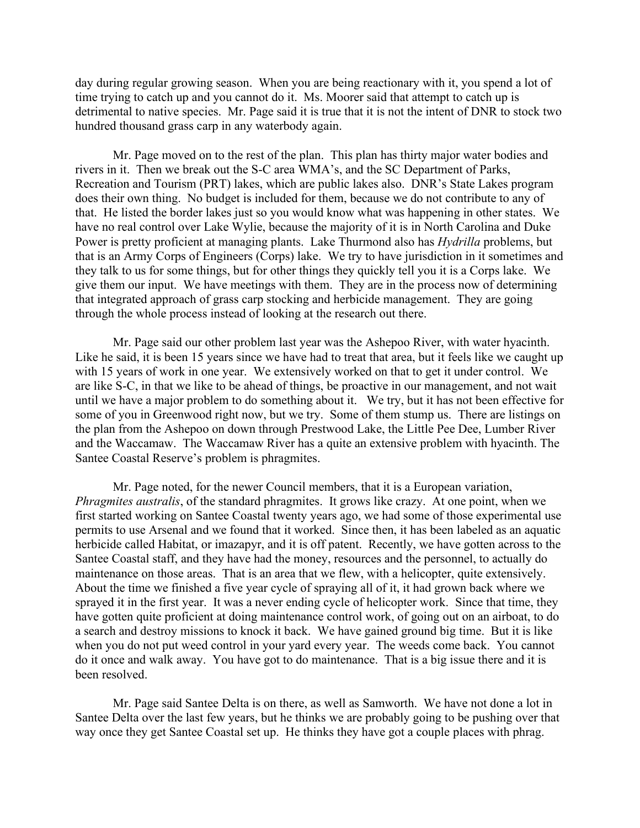day during regular growing season. When you are being reactionary with it, you spend a lot of time trying to catch up and you cannot do it. Ms. Moorer said that attempt to catch up is detrimental to native species. Mr. Page said it is true that it is not the intent of DNR to stock two hundred thousand grass carp in any waterbody again.

Mr. Page moved on to the rest of the plan. This plan has thirty major water bodies and rivers in it. Then we break out the S-C area WMA's, and the SC Department of Parks, Recreation and Tourism (PRT) lakes, which are public lakes also. DNR's State Lakes program does their own thing. No budget is included for them, because we do not contribute to any of that. He listed the border lakes just so you would know what was happening in other states. We have no real control over Lake Wylie, because the majority of it is in North Carolina and Duke Power is pretty proficient at managing plants. Lake Thurmond also has *Hydrilla* problems, but that is an Army Corps of Engineers (Corps) lake. We try to have jurisdiction in it sometimes and they talk to us for some things, but for other things they quickly tell you it is a Corps lake. We give them our input. We have meetings with them. They are in the process now of determining that integrated approach of grass carp stocking and herbicide management. They are going through the whole process instead of looking at the research out there.

Mr. Page said our other problem last year was the Ashepoo River, with water hyacinth. Like he said, it is been 15 years since we have had to treat that area, but it feels like we caught up with 15 years of work in one year. We extensively worked on that to get it under control. We are like S-C, in that we like to be ahead of things, be proactive in our management, and not wait until we have a major problem to do something about it. We try, but it has not been effective for some of you in Greenwood right now, but we try. Some of them stump us. There are listings on the plan from the Ashepoo on down through Prestwood Lake, the Little Pee Dee, Lumber River and the Waccamaw. The Waccamaw River has a quite an extensive problem with hyacinth. The Santee Coastal Reserve's problem is phragmites.

Mr. Page noted, for the newer Council members, that it is a European variation, *Phragmites australis*, of the standard phragmites. It grows like crazy. At one point, when we first started working on Santee Coastal twenty years ago, we had some of those experimental use permits to use Arsenal and we found that it worked. Since then, it has been labeled as an aquatic herbicide called Habitat, or imazapyr, and it is off patent. Recently, we have gotten across to the Santee Coastal staff, and they have had the money, resources and the personnel, to actually do maintenance on those areas. That is an area that we flew, with a helicopter, quite extensively. About the time we finished a five year cycle of spraying all of it, it had grown back where we sprayed it in the first year. It was a never ending cycle of helicopter work. Since that time, they have gotten quite proficient at doing maintenance control work, of going out on an airboat, to do a search and destroy missions to knock it back. We have gained ground big time. But it is like when you do not put weed control in your yard every year. The weeds come back. You cannot do it once and walk away. You have got to do maintenance. That is a big issue there and it is been resolved.

Mr. Page said Santee Delta is on there, as well as Samworth. We have not done a lot in Santee Delta over the last few years, but he thinks we are probably going to be pushing over that way once they get Santee Coastal set up. He thinks they have got a couple places with phrag.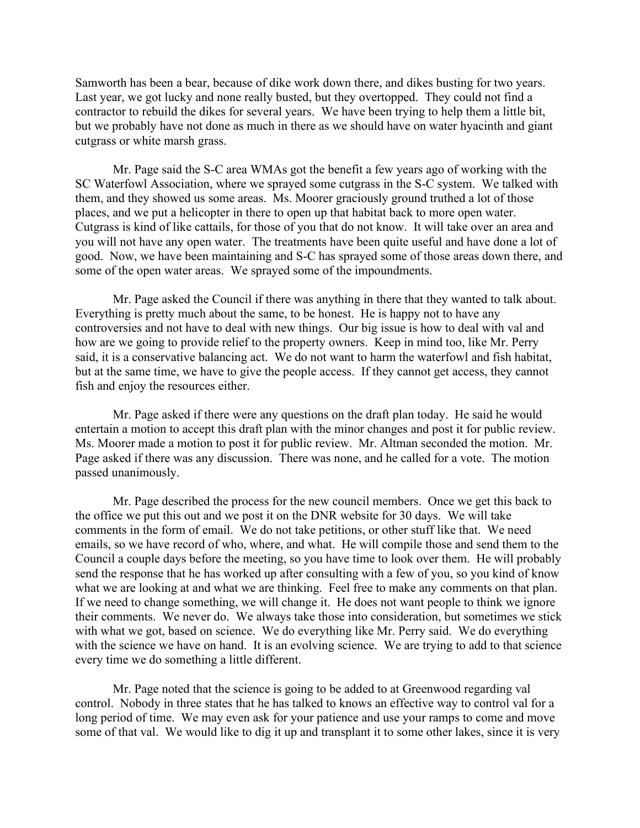Samworth has been a bear, because of dike work down there, and dikes busting for two years. Last year, we got lucky and none really busted, but they overtopped. They could not find a contractor to rebuild the dikes for several years. We have been trying to help them a little bit, but we probably have not done as much in there as we should have on water hyacinth and giant cutgrass or white marsh grass.

Mr. Page said the S-C area WMAs got the benefit a few years ago of working with the SC Waterfowl Association, where we sprayed some cutgrass in the S-C system. We talked with them, and they showed us some areas. Ms. Moorer graciously ground truthed a lot of those places, and we put a helicopter in there to open up that habitat back to more open water. Cutgrass is kind of like cattails, for those of you that do not know. It will take over an area and you will not have any open water. The treatments have been quite useful and have done a lot of good. Now, we have been maintaining and S-C has sprayed some of those areas down there, and some of the open water areas. We sprayed some of the impoundments.

Mr. Page asked the Council if there was anything in there that they wanted to talk about. Everything is pretty much about the same, to be honest. He is happy not to have any controversies and not have to deal with new things. Our big issue is how to deal with val and how are we going to provide relief to the property owners. Keep in mind too, like Mr. Perry said, it is a conservative balancing act. We do not want to harm the waterfowl and fish habitat, but at the same time, we have to give the people access. If they cannot get access, they cannot fish and enjoy the resources either.

Mr. Page asked if there were any questions on the draft plan today. He said he would entertain a motion to accept this draft plan with the minor changes and post it for public review. Ms. Moorer made a motion to post it for public review. Mr. Altman seconded the motion. Mr. Page asked if there was any discussion. There was none, and he called for a vote. The motion passed unanimously.

Mr. Page described the process for the new council members. Once we get this back to the office we put this out and we post it on the DNR website for 30 days. We will take comments in the form of email. We do not take petitions, or other stuff like that. We need emails, so we have record of who, where, and what. He will compile those and send them to the Council a couple days before the meeting, so you have time to look over them. He will probably send the response that he has worked up after consulting with a few of you, so you kind of know what we are looking at and what we are thinking. Feel free to make any comments on that plan. If we need to change something, we will change it. He does not want people to think we ignore their comments. We never do. We always take those into consideration, but sometimes we stick with what we got, based on science. We do everything like Mr. Perry said. We do everything with the science we have on hand. It is an evolving science. We are trying to add to that science every time we do something a little different.

Mr. Page noted that the science is going to be added to at Greenwood regarding val control. Nobody in three states that he has talked to knows an effective way to control val for a long period of time. We may even ask for your patience and use your ramps to come and move some of that val. We would like to dig it up and transplant it to some other lakes, since it is very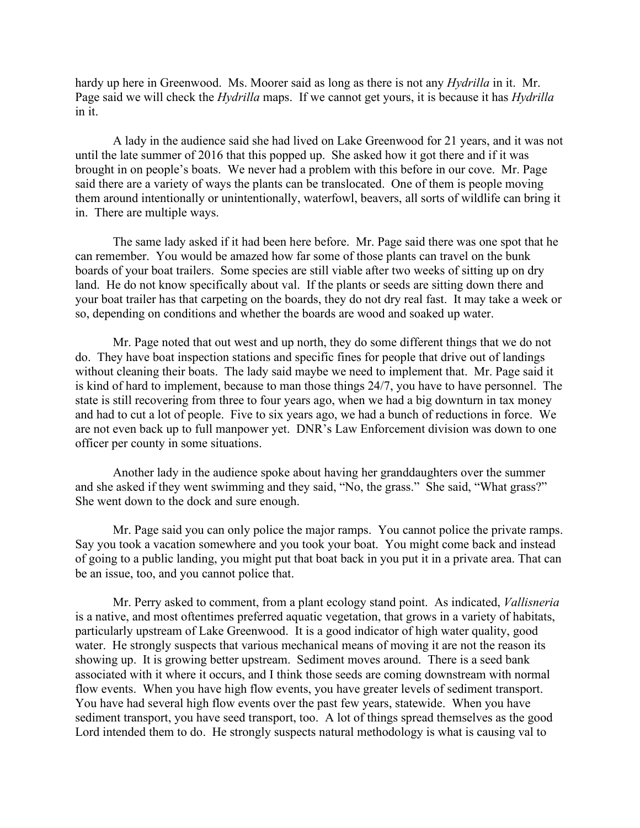hardy up here in Greenwood. Ms. Moorer said as long as there is not any *Hydrilla* in it. Mr. Page said we will check the *Hydrilla* maps. If we cannot get yours, it is because it has *Hydrilla* in it.

A lady in the audience said she had lived on Lake Greenwood for 21 years, and it was not until the late summer of 2016 that this popped up. She asked how it got there and if it was brought in on people's boats. We never had a problem with this before in our cove. Mr. Page said there are a variety of ways the plants can be translocated. One of them is people moving them around intentionally or unintentionally, waterfowl, beavers, all sorts of wildlife can bring it in. There are multiple ways.

The same lady asked if it had been here before. Mr. Page said there was one spot that he can remember. You would be amazed how far some of those plants can travel on the bunk boards of your boat trailers. Some species are still viable after two weeks of sitting up on dry land. He do not know specifically about val. If the plants or seeds are sitting down there and your boat trailer has that carpeting on the boards, they do not dry real fast. It may take a week or so, depending on conditions and whether the boards are wood and soaked up water.

Mr. Page noted that out west and up north, they do some different things that we do not do. They have boat inspection stations and specific fines for people that drive out of landings without cleaning their boats. The lady said maybe we need to implement that. Mr. Page said it is kind of hard to implement, because to man those things 24/7, you have to have personnel. The state is still recovering from three to four years ago, when we had a big downturn in tax money and had to cut a lot of people. Five to six years ago, we had a bunch of reductions in force. We are not even back up to full manpower yet. DNR's Law Enforcement division was down to one officer per county in some situations.

Another lady in the audience spoke about having her granddaughters over the summer and she asked if they went swimming and they said, "No, the grass." She said, "What grass?" She went down to the dock and sure enough.

Mr. Page said you can only police the major ramps. You cannot police the private ramps. Say you took a vacation somewhere and you took your boat. You might come back and instead of going to a public landing, you might put that boat back in you put it in a private area. That can be an issue, too, and you cannot police that.

Mr. Perry asked to comment, from a plant ecology stand point. As indicated, *Vallisneria* is a native, and most oftentimes preferred aquatic vegetation, that grows in a variety of habitats, particularly upstream of Lake Greenwood. It is a good indicator of high water quality, good water. He strongly suspects that various mechanical means of moving it are not the reason its showing up. It is growing better upstream. Sediment moves around. There is a seed bank associated with it where it occurs, and I think those seeds are coming downstream with normal flow events. When you have high flow events, you have greater levels of sediment transport. You have had several high flow events over the past few years, statewide. When you have sediment transport, you have seed transport, too. A lot of things spread themselves as the good Lord intended them to do. He strongly suspects natural methodology is what is causing val to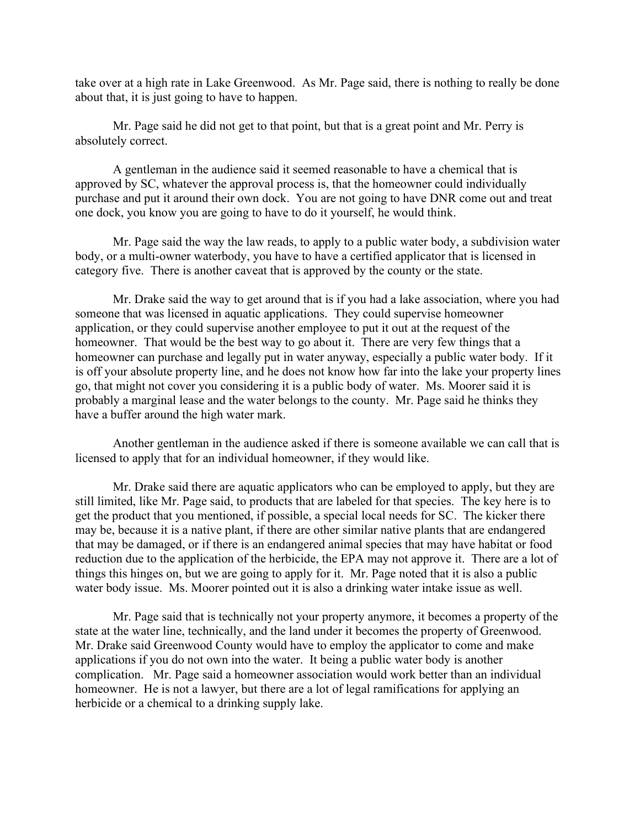take over at a high rate in Lake Greenwood. As Mr. Page said, there is nothing to really be done about that, it is just going to have to happen.

Mr. Page said he did not get to that point, but that is a great point and Mr. Perry is absolutely correct.

A gentleman in the audience said it seemed reasonable to have a chemical that is approved by SC, whatever the approval process is, that the homeowner could individually purchase and put it around their own dock. You are not going to have DNR come out and treat one dock, you know you are going to have to do it yourself, he would think.

Mr. Page said the way the law reads, to apply to a public water body, a subdivision water body, or a multi-owner waterbody, you have to have a certified applicator that is licensed in category five. There is another caveat that is approved by the county or the state.

Mr. Drake said the way to get around that is if you had a lake association, where you had someone that was licensed in aquatic applications. They could supervise homeowner application, or they could supervise another employee to put it out at the request of the homeowner. That would be the best way to go about it. There are very few things that a homeowner can purchase and legally put in water anyway, especially a public water body. If it is off your absolute property line, and he does not know how far into the lake your property lines go, that might not cover you considering it is a public body of water. Ms. Moorer said it is probably a marginal lease and the water belongs to the county. Mr. Page said he thinks they have a buffer around the high water mark.

Another gentleman in the audience asked if there is someone available we can call that is licensed to apply that for an individual homeowner, if they would like.

Mr. Drake said there are aquatic applicators who can be employed to apply, but they are still limited, like Mr. Page said, to products that are labeled for that species. The key here is to get the product that you mentioned, if possible, a special local needs for SC. The kicker there may be, because it is a native plant, if there are other similar native plants that are endangered that may be damaged, or if there is an endangered animal species that may have habitat or food reduction due to the application of the herbicide, the EPA may not approve it. There are a lot of things this hinges on, but we are going to apply for it. Mr. Page noted that it is also a public water body issue. Ms. Moorer pointed out it is also a drinking water intake issue as well.

Mr. Page said that is technically not your property anymore, it becomes a property of the state at the water line, technically, and the land under it becomes the property of Greenwood. Mr. Drake said Greenwood County would have to employ the applicator to come and make applications if you do not own into the water. It being a public water body is another complication. Mr. Page said a homeowner association would work better than an individual homeowner. He is not a lawyer, but there are a lot of legal ramifications for applying an herbicide or a chemical to a drinking supply lake.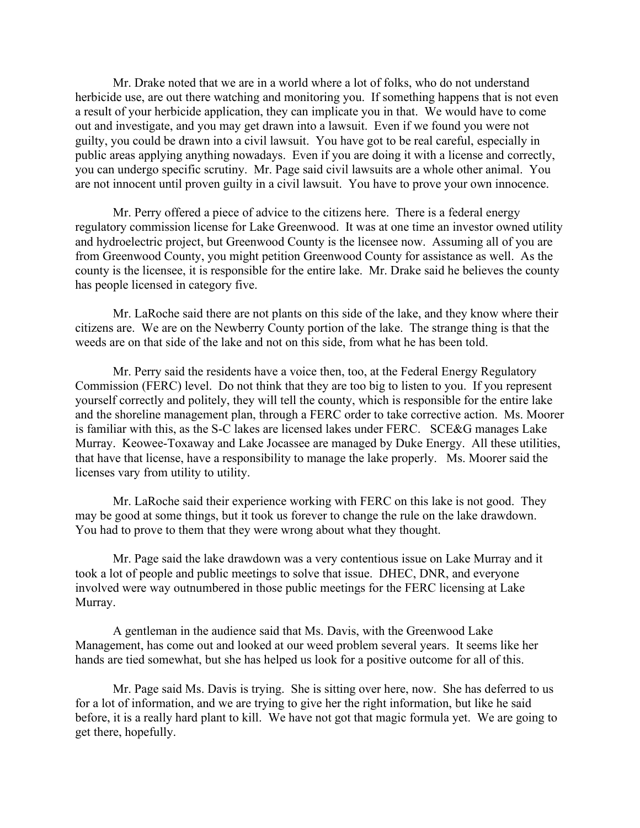Mr. Drake noted that we are in a world where a lot of folks, who do not understand herbicide use, are out there watching and monitoring you. If something happens that is not even a result of your herbicide application, they can implicate you in that. We would have to come out and investigate, and you may get drawn into a lawsuit. Even if we found you were not guilty, you could be drawn into a civil lawsuit. You have got to be real careful, especially in public areas applying anything nowadays. Even if you are doing it with a license and correctly, you can undergo specific scrutiny. Mr. Page said civil lawsuits are a whole other animal. You are not innocent until proven guilty in a civil lawsuit. You have to prove your own innocence.

Mr. Perry offered a piece of advice to the citizens here. There is a federal energy regulatory commission license for Lake Greenwood. It was at one time an investor owned utility and hydroelectric project, but Greenwood County is the licensee now. Assuming all of you are from Greenwood County, you might petition Greenwood County for assistance as well. As the county is the licensee, it is responsible for the entire lake. Mr. Drake said he believes the county has people licensed in category five.

Mr. LaRoche said there are not plants on this side of the lake, and they know where their citizens are. We are on the Newberry County portion of the lake. The strange thing is that the weeds are on that side of the lake and not on this side, from what he has been told.

Mr. Perry said the residents have a voice then, too, at the Federal Energy Regulatory Commission (FERC) level. Do not think that they are too big to listen to you. If you represent yourself correctly and politely, they will tell the county, which is responsible for the entire lake and the shoreline management plan, through a FERC order to take corrective action. Ms. Moorer is familiar with this, as the S-C lakes are licensed lakes under FERC. SCE&G manages Lake Murray. Keowee-Toxaway and Lake Jocassee are managed by Duke Energy. All these utilities, that have that license, have a responsibility to manage the lake properly. Ms. Moorer said the licenses vary from utility to utility.

Mr. LaRoche said their experience working with FERC on this lake is not good. They may be good at some things, but it took us forever to change the rule on the lake drawdown. You had to prove to them that they were wrong about what they thought.

Mr. Page said the lake drawdown was a very contentious issue on Lake Murray and it took a lot of people and public meetings to solve that issue. DHEC, DNR, and everyone involved were way outnumbered in those public meetings for the FERC licensing at Lake Murray.

A gentleman in the audience said that Ms. Davis, with the Greenwood Lake Management, has come out and looked at our weed problem several years. It seems like her hands are tied somewhat, but she has helped us look for a positive outcome for all of this.

Mr. Page said Ms. Davis is trying. She is sitting over here, now. She has deferred to us for a lot of information, and we are trying to give her the right information, but like he said before, it is a really hard plant to kill. We have not got that magic formula yet. We are going to get there, hopefully.